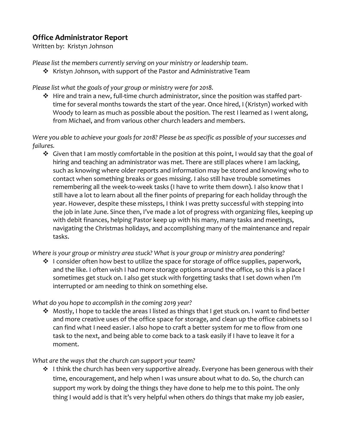## **Office Administrator Report**

Written by: Kristyn Johnson

*Please list the members currently serving on your ministry or leadership team*.

❖ Kristyn Johnson, with support of the Pastor and Administrative Team

*Please list what the goals of your group or ministry were for 2018.*

❖ Hire and train a new, full-time church administrator, since the position was staffed parttime for several months towards the start of the year. Once hired, I (Kristyn) worked with Woody to learn as much as possible about the position. The rest I learned as I went along, from Michael, and from various other church leaders and members.

*Were you able to achieve your goals for 2018? Please be as specific as possible of your successes and failures.*

 $\dots$  Given that I am mostly comfortable in the position at this point, I would say that the goal of hiring and teaching an administrator was met. There are still places where I am lacking, such as knowing where older reports and information may be stored and knowing who to contact when something breaks or goes missing. I also still have trouble sometimes remembering all the week-to-week tasks (I have to write them down). I also know that I still have a lot to learn about all the finer points of preparing for each holiday through the year. However, despite these missteps, I think I was pretty successful with stepping into the job in late June. Since then, I've made a lot of progress with organizing files, keeping up with debit finances, helping Pastor keep up with his many, many tasks and meetings, navigating the Christmas holidays, and accomplishing many of the maintenance and repair tasks.

*Where is your group or ministry area stuck? What is your group or ministry area pondering?*

❖ I consider often how best to utilize the space for storage of office supplies, paperwork, and the like. I often wish I had more storage options around the office, so this is a place I sometimes get stuck on. I also get stuck with forgetting tasks that I set down when I'm interrupted or am needing to think on something else.

*What do you hope to accomplish in the coming 2019 year?*

❖ Mostly, I hope to tackle the areas I listed as things that I get stuck on. I want to find better and more creative uses of the office space for storage, and clean up the office cabinets so I can find what I need easier. I also hope to craft a better system for me to flow from one task to the next, and being able to come back to a task easily if I have to leave it for a moment.

*What are the ways that the church can support your team?*

❖ I think the church has been very supportive already. Everyone has been generous with their time, encouragement, and help when I was unsure about what to do. So, the church can support my work by doing the things they have done to help me to this point. The only thing I would add is that it's very helpful when others do things that make my job easier,